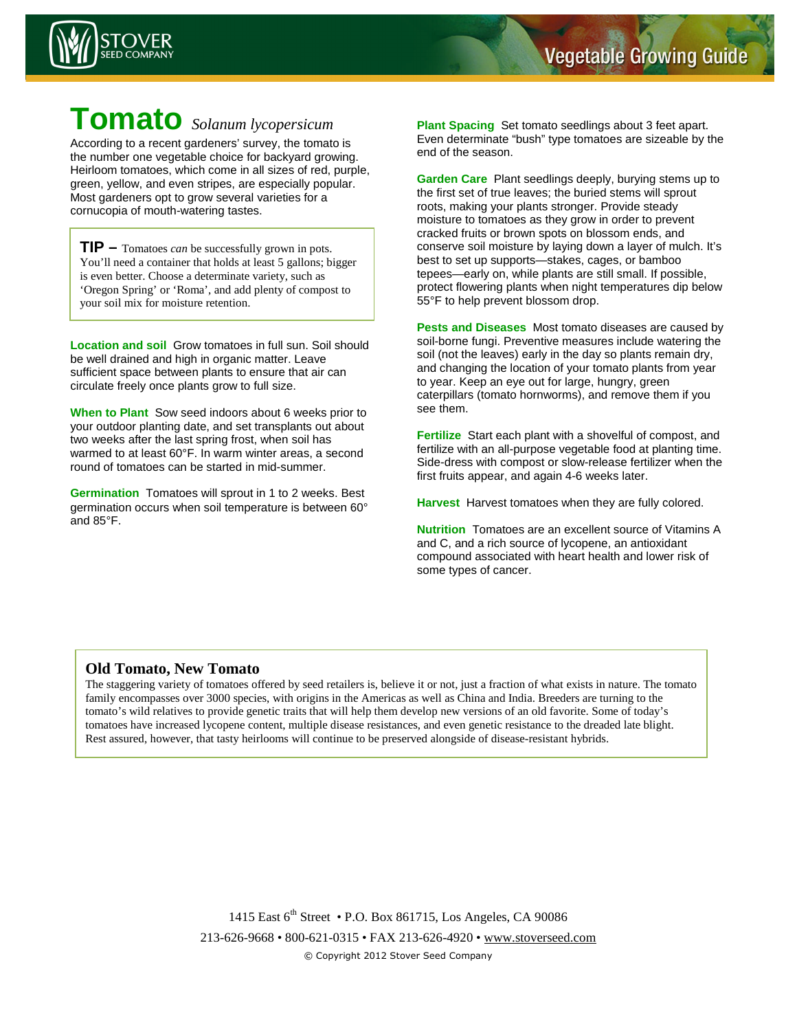

## **Tomato** *Solanum lycopersicum*

According to a recent gardeners' survey, the tomato is the number one vegetable choice for backyard growing. Heirloom tomatoes, which come in all sizes of red, purple, green, yellow, and even stripes, are especially popular. Most gardeners opt to grow several varieties for a cornucopia of mouth-watering tastes.

**TIP –** Tomatoes *can* be successfully grown in pots. You'll need a container that holds at least 5 gallons; bigger is even better. Choose a determinate variety, such as 'Oregon Spring' or 'Roma', and add plenty of compost to your soil mix for moisture retention.

**Location and soil** Grow tomatoes in full sun. Soil should be well drained and high in organic matter. Leave sufficient space between plants to ensure that air can circulate freely once plants grow to full size.

**When to Plant** Sow seed indoors about 6 weeks prior to your outdoor planting date, and set transplants out about two weeks after the last spring frost, when soil has warmed to at least 60°F. In warm winter areas, a second round of tomatoes can be started in mid-summer.

**Germination** Tomatoes will sprout in 1 to 2 weeks. Best germination occurs when soil temperature is between 60° and 85°F.

**Plant Spacing** Set tomato seedlings about 3 feet apart. Even determinate "bush" type tomatoes are sizeable by the end of the season.

**Garden Care** Plant seedlings deeply, burying stems up to the first set of true leaves; the buried stems will sprout roots, making your plants stronger. Provide steady moisture to tomatoes as they grow in order to prevent cracked fruits or brown spots on blossom ends, and conserve soil moisture by laying down a layer of mulch. It's best to set up supports—stakes, cages, or bamboo tepees—early on, while plants are still small. If possible, protect flowering plants when night temperatures dip below 55°F to help prevent blossom drop.

**Pests and Diseases** Most tomato diseases are caused by soil-borne fungi. Preventive measures include watering the soil (not the leaves) early in the day so plants remain dry, and changing the location of your tomato plants from year to year. Keep an eye out for large, hungry, green caterpillars (tomato hornworms), and remove them if you see them.

**Fertilize** Start each plant with a shovelful of compost, and fertilize with an all-purpose vegetable food at planting time. Side-dress with compost or slow-release fertilizer when the first fruits appear, and again 4-6 weeks later.

**Harvest** Harvest tomatoes when they are fully colored.

**Nutrition** Tomatoes are an excellent source of Vitamins A and C, and a rich source of lycopene, an antioxidant compound associated with heart health and lower risk of some types of cancer.

## **Old Tomato, New Tomato**

The staggering variety of tomatoes offered by seed retailers is, believe it or not, just a fraction of what exists in nature. The tomato family encompasses over 3000 species, with origins in the Americas as well as China and India. Breeders are turning to the tomato's wild relatives to provide genetic traits that will help them develop new versions of an old favorite. Some of today's tomatoes have increased lycopene content, multiple disease resistances, and even genetic resistance to the dreaded late blight. Rest assured, however, that tasty heirlooms will continue to be preserved alongside of disease-resistant hybrids.

> 1415 East 6<sup>th</sup> Street • P.O. Box 861715, Los Angeles, CA 90086 213-626-9668 • 800-621-0315 • FAX 213-626-4920 • www.stoverseed.com © Copyright 2012 Stover Seed Company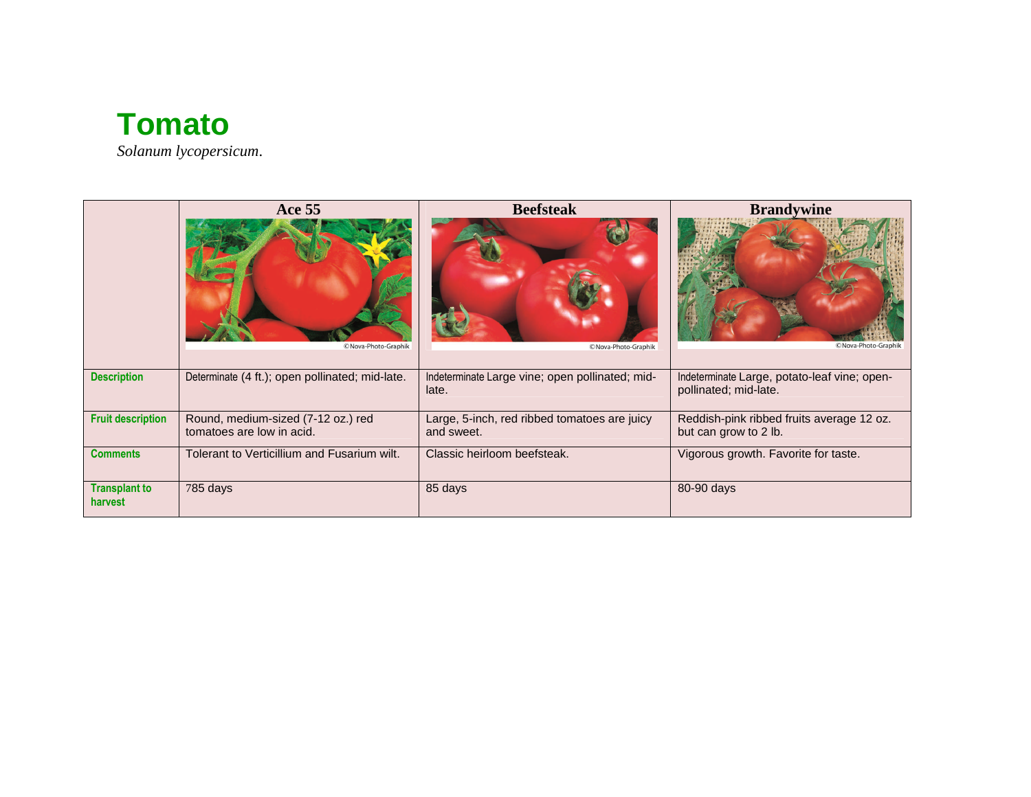

|                                 | <b>Ace 55</b>                                                   | <b>Beefsteak</b>                                           | <b>Brandywine</b>                                                     |
|---------------------------------|-----------------------------------------------------------------|------------------------------------------------------------|-----------------------------------------------------------------------|
|                                 | ©Nova-Photo-Graphik                                             | ©Nova-Photo-Graphik                                        | ©Nova-Photo-Graphik                                                   |
| <b>Description</b>              | Determinate (4 ft.); open pollinated; mid-late.                 | Indeterminate Large vine; open pollinated; mid-<br>late.   | Indeterminate Large, potato-leaf vine; open-<br>pollinated; mid-late. |
| <b>Fruit description</b>        | Round, medium-sized (7-12 oz.) red<br>tomatoes are low in acid. | Large, 5-inch, red ribbed tomatoes are juicy<br>and sweet. | Reddish-pink ribbed fruits average 12 oz.<br>but can grow to 2 lb.    |
| <b>Comments</b>                 | Tolerant to Verticillium and Fusarium wilt.                     | Classic heirloom beefsteak.                                | Vigorous growth. Favorite for taste.                                  |
| <b>Transplant to</b><br>harvest | 785 days                                                        | 85 days                                                    | 80-90 days                                                            |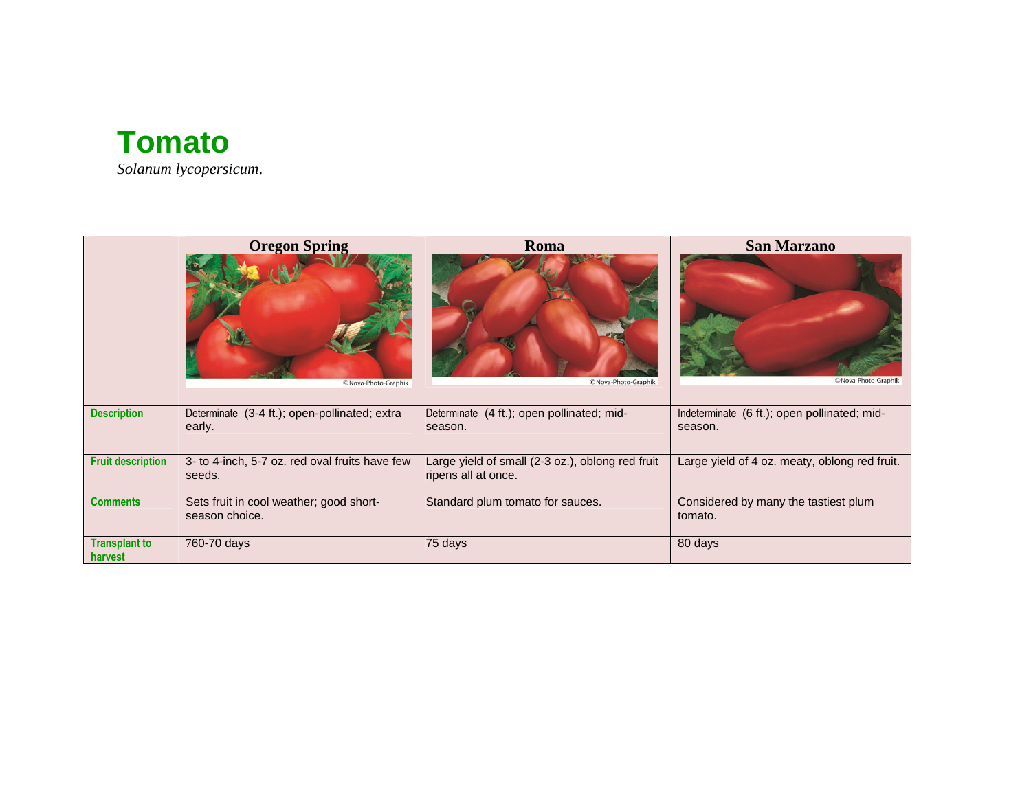

*Solanum lycopersicum*.

|                                 | <b>Oregon Spring</b>                                      | Roma                                                                    | <b>San Marzano</b>                                      |
|---------------------------------|-----------------------------------------------------------|-------------------------------------------------------------------------|---------------------------------------------------------|
|                                 | ©Nova-Photo-Graphik                                       | ©Nova-Photo-Graphik                                                     | © Nova-Photo-Graphik                                    |
| <b>Description</b>              | Determinate (3-4 ft.); open-pollinated; extra<br>early.   | Determinate (4 ft.); open pollinated; mid-<br>season.                   | Indeterminate (6 ft.); open pollinated; mid-<br>season. |
| <b>Fruit description</b>        | 3- to 4-inch, 5-7 oz. red oval fruits have few<br>seeds.  | Large yield of small (2-3 oz.), oblong red fruit<br>ripens all at once. | Large yield of 4 oz. meaty, oblong red fruit.           |
| <b>Comments</b>                 | Sets fruit in cool weather; good short-<br>season choice. | Standard plum tomato for sauces.                                        | Considered by many the tastiest plum<br>tomato.         |
| <b>Transplant to</b><br>harvest | 760-70 days                                               | 75 days                                                                 | 80 days                                                 |